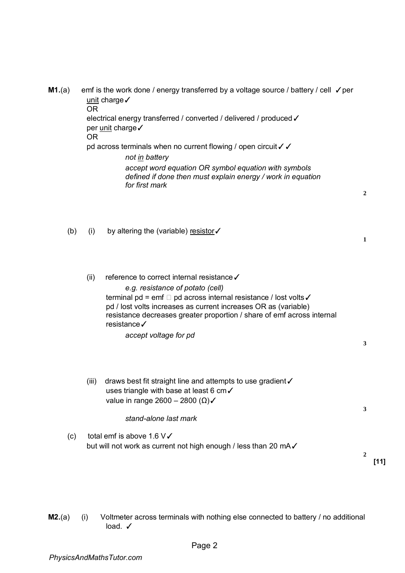**M1.**(a) emf is the work done / energy transferred by a voltage source / battery / cell √ per unit charge✓ OR electrical energy transferred / converted / delivered / produced √ per unit charge√ OR pd across terminals when no current flowing / open circuit √ √ *not in battery accept word equation OR symbol equation with symbols defined if done then must explain energy / work in equation for first mark* 

(b) (i) by altering the (variable) resistor✓

(ii) reference to correct internal resistance ✓ *e.g. resistance of potato (cell)*  terminal pd = emf □ pd across internal resistance / lost volts  $\checkmark$ pd / lost volts increases as current increases OR as (variable) resistance decreases greater proportion / share of emf across internal resistance✓

*accept voltage for pd* 

(iii) draws best fit straight line and attempts to use gradient✓ uses triangle with base at least 6 cm✓ value in range 2600 – 2800 (Ω) $\checkmark$ 

*stand-alone last mark* 

(c) total emf is above 1.6  $V\checkmark$ but will not work as current not high enough / less than 20 mA✓

**2 [11]** 

**2**

**1**

**3**

**3**

**M2.**(a) (i) Voltmeter across terminals with nothing else connected to battery / no additional load. √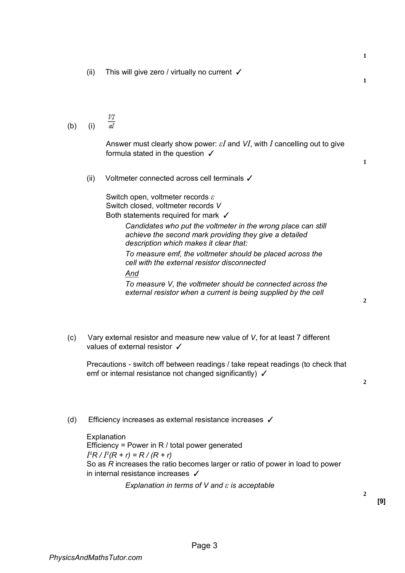(ii) This will give zero / virtually no current ✓

VI  $\overline{st}$ (b) (i)

> Answer must clearly show power: *εI* and *VI*, with *I* cancelling out to give formula stated in the question ✓

(ii) Voltmeter connected across cell terminals ✓

Switch open, voltmeter records *ε*  Switch closed, voltmeter records *V*  Both statements required for mark √

*Candidates who put the voltmeter in the wrong place can still achieve the second mark providing they give a detailed description which makes it clear that:* 

*To measure emf, the voltmeter should be placed across the cell with the external resistor disconnected* 

*And*

*To measure V, the voltmeter should be connected across the external resistor when a current is being supplied by the cell* 

(c) Vary external resistor and measure new value of *V*, for at least 7 different values of external resistor √

Precautions - switch off between readings / take repeat readings (to check that emf or internal resistance not changed significantly)  $\checkmark$ 

**2**

(d) Efficiency increases as external resistance increases ✓

**Explanation** Efficiency = Power in R / total power generated  $I^2R$  /  $I^2(R + r) = R$  /  $(R + r)$ So as *R* increases the ratio becomes larger or ratio of power in load to power in internal resistance increases ✓

*Explanation in terms of V and ε is acceptable* 

**2**

**2**

**1**

**1**

**1**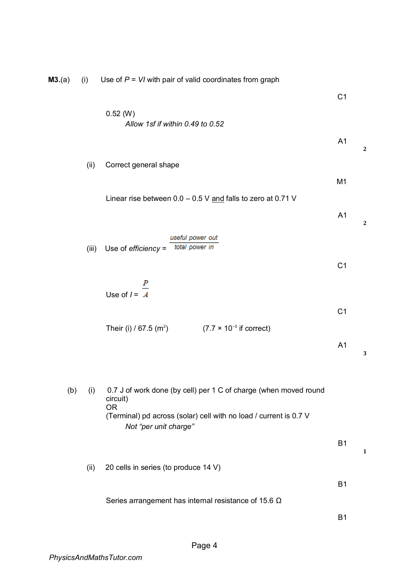| M3.(a) | (i)   | Use of $P = VI$ with pair of valid coordinates from graph                                                                                                                               |                |                  |
|--------|-------|-----------------------------------------------------------------------------------------------------------------------------------------------------------------------------------------|----------------|------------------|
|        |       |                                                                                                                                                                                         | C <sub>1</sub> |                  |
|        |       | 0.52 (W)<br>Allow 1sf if within 0.49 to 0.52                                                                                                                                            |                |                  |
|        |       |                                                                                                                                                                                         | A <sub>1</sub> | $\boldsymbol{2}$ |
|        | (ii)  | Correct general shape                                                                                                                                                                   |                |                  |
|        |       | Linear rise between $0.0 - 0.5$ V and falls to zero at 0.71 V                                                                                                                           | M <sub>1</sub> |                  |
|        |       |                                                                                                                                                                                         | A <sub>1</sub> | $\boldsymbol{2}$ |
|        | (iii) | useful power out<br>total power in<br>Use of $efficiency =$                                                                                                                             |                |                  |
|        |       |                                                                                                                                                                                         | C <sub>1</sub> |                  |
|        |       | Use of $I = \frac{P}{A}$                                                                                                                                                                |                |                  |
|        |       | $(7.7 \times 10^{-3} \text{ if correct})$<br>Their (i) / 67.5 $(m^2)$                                                                                                                   | C <sub>1</sub> |                  |
|        |       |                                                                                                                                                                                         | A <sub>1</sub> | 3                |
| (b)    | (i)   | 0.7 J of work done (by cell) per 1 C of charge (when moved round<br>circuit)<br><b>OR</b><br>(Terminal) pd across (solar) cell with no load / current is 0.7 V<br>Not "per unit charge" |                |                  |
|        |       |                                                                                                                                                                                         | <b>B1</b>      | 1                |
|        | (ii)  | 20 cells in series (to produce 14 V)                                                                                                                                                    |                |                  |
|        |       | Series arrangement has internal resistance of 15.6 $\Omega$                                                                                                                             | <b>B1</b>      |                  |
|        |       |                                                                                                                                                                                         | <b>B1</b>      |                  |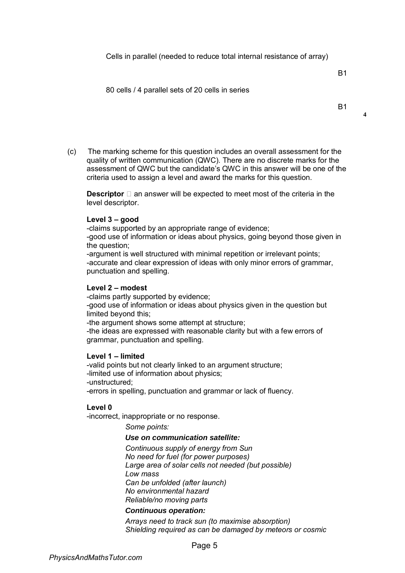B1

### 80 cells / 4 parallel sets of 20 cells in series

**4**

(c) The marking scheme for this question includes an overall assessment for the quality of written communication (QWC). There are no discrete marks for the assessment of QWC but the candidate's QWC in this answer will be one of the criteria used to assign a level and award the marks for this question.

**Descriptor**  $\Box$  an answer will be expected to meet most of the criteria in the level descriptor.

### **Level 3 ‒ good**

-claims supported by an appropriate range of evidence;

-good use of information or ideas about physics, going beyond those given in the question;

-argument is well structured with minimal repetition or irrelevant points; -accurate and clear expression of ideas with only minor errors of grammar, punctuation and spelling.

### **Level 2 ‒ modest**

-claims partly supported by evidence; -good use of information or ideas about physics given in the question but limited beyond this; -the argument shows some attempt at structure; -the ideas are expressed with reasonable clarity but with a few errors of grammar, punctuation and spelling.

### **Level 1 ‒ limited**

-valid points but not clearly linked to an argument structure; -limited use of information about physics; -unstructured; -errors in spelling, punctuation and grammar or lack of fluency.

### **Level 0**

-incorrect, inappropriate or no response.

*Some points:* 

# *Use on communication satellite:*

*Continuous supply of energy from Sun No need for fuel (for power purposes) Large area of solar cells not needed (but possible) Low mass Can be unfolded (after launch) No environmental hazard Reliable/no moving parts* 

#### *Continuous operation:*

*Arrays need to track sun (to maximise absorption) Shielding required as can be damaged by meteors or cosmic*